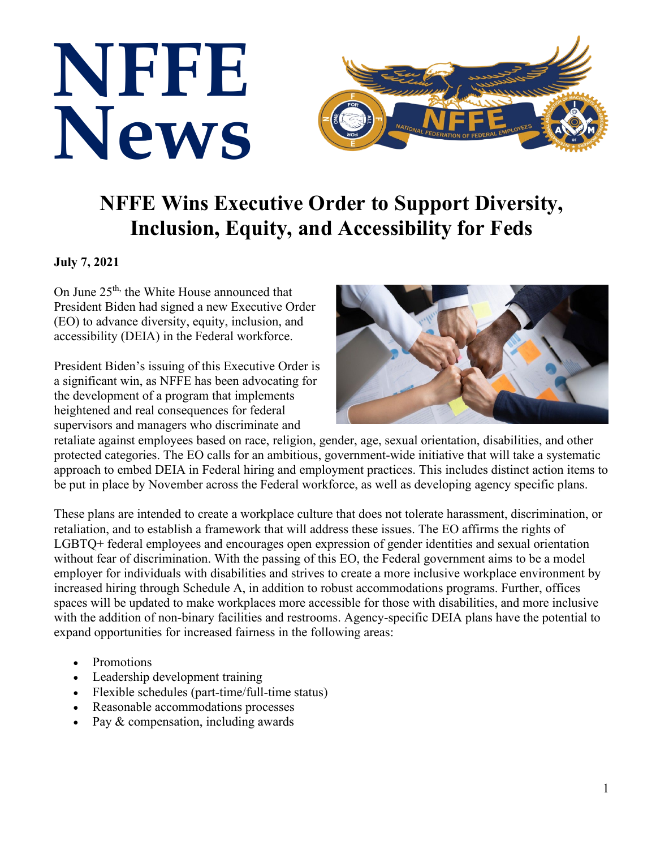

## **NFFE Wins Executive Order to Support Diversity, Inclusion, Equity, and Accessibility for Feds**

## **July 7, 2021**

On June  $25<sup>th</sup>$ , the White House announced that President Biden had signed a new Executive Order (EO) to advance diversity, equity, inclusion, and accessibility (DEIA) in the Federal workforce.

President Biden's issuing of this Executive Order is a significant win, as NFFE has been advocating for the development of a program that implements heightened and real consequences for federal supervisors and managers who discriminate and



retaliate against employees based on race, religion, gender, age, sexual orientation, disabilities, and other protected categories. The EO calls for an ambitious, government-wide initiative that will take a systematic approach to embed DEIA in Federal hiring and employment practices. This includes distinct action items to be put in place by November across the Federal workforce, as well as developing agency specific plans.

These plans are intended to create a workplace culture that does not tolerate harassment, discrimination, or retaliation, and to establish a framework that will address these issues. The EO affirms the rights of LGBTQ+ federal employees and encourages open expression of gender identities and sexual orientation without fear of discrimination. With the passing of this EO, the Federal government aims to be a model employer for individuals with disabilities and strives to create a more inclusive workplace environment by increased hiring through Schedule A, in addition to robust accommodations programs. Further, offices spaces will be updated to make workplaces more accessible for those with disabilities, and more inclusive with the addition of non-binary facilities and restrooms. Agency-specific DEIA plans have the potential to expand opportunities for increased fairness in the following areas:

- Promotions
- Leadership development training
- Flexible schedules (part-time/full-time status)
- Reasonable accommodations processes
- Pay & compensation, including awards